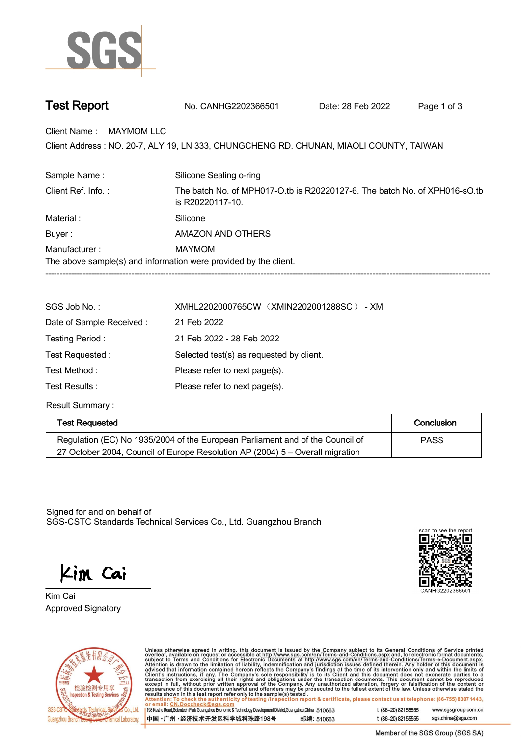

| <b>Test Report</b><br>No. CANHG2202366501 | Date: 28 Feb 2022 | Page 1 of 3 |
|-------------------------------------------|-------------------|-------------|
|-------------------------------------------|-------------------|-------------|

**Client Name : MAYMOM LLC.**

Client Address : NO. 20-7, ALY 19, LN 333, CHUNGCHENG RD. CHUNAN, MIAOLI COUNTY, TAIWAN<br>.

| Sample Name:       | Silicone Sealing o-ring                                                                        |  |
|--------------------|------------------------------------------------------------------------------------------------|--|
| Client Ref. Info.: | The batch No. of MPH017-O.tb is R20220127-6. The batch No. of XPH016-sO.tb<br>is R20220117-10. |  |
| Material:          | Silicone                                                                                       |  |
| Buyer:             | AMAZON AND OTHERS                                                                              |  |
| Manufacturer:      | <b>MAYMOM</b>                                                                                  |  |
|                    | The above sample(s) and information were provided by the client.                               |  |
|                    |                                                                                                |  |

| SGS Job No.:              | XMHL2202000765CW (XMIN2202001288SC) - XM |
|---------------------------|------------------------------------------|
| Date of Sample Received : | 21 Feb 2022                              |
| Testing Period:           | 21 Feb 2022 - 28 Feb 2022                |
| Test Requested:           | Selected test(s) as requested by client. |
| Test Method:              | Please refer to next page(s).            |
| Test Results :            | Please refer to next page(s).            |
|                           |                                          |

**Result Summary :.**

| Test Requested                                                                | Conclusion  |
|-------------------------------------------------------------------------------|-------------|
| Regulation (EC) No 1935/2004 of the European Parliament and of the Council of | <b>PASS</b> |
| 27 October 2004, Council of Europe Resolution AP (2004) 5 – Overall migration |             |

Signed for and on behalf of SGS-CSTC Standards Technical Services Co., Ltd. Guangzhou Branch.

Kim Cai

**Approved Signatory . . . Kim Cai.**





Unless otherwise agreed in writing, this document is issued by the Company subject to its General Conditions of Service printed<br>overleaf, available on request or accessible at http://www.sgs.com/en/Terms-and-Conditions.as

| 198 Kezhu Road, Scientech Park Guangzhou Economic & Technology Development District, Guangzhou, China 510663 |            |
|--------------------------------------------------------------------------------------------------------------|------------|
| 中国 •广州 •经济技术开发区科学城科珠路198号 »                                                                                  | 邮编: 510663 |

t (86-20) 82155555 www.sgsgroup.com.cn t (86-20) 82155555 sgs.china@sgs.com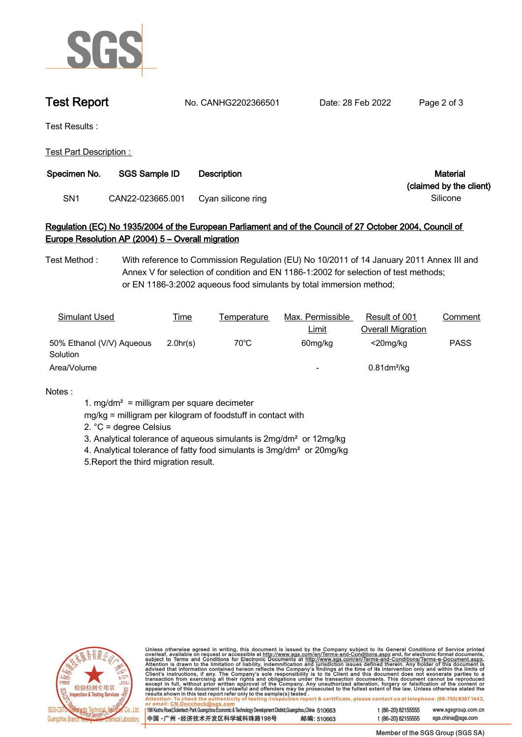

**Test Report. No. CANHG2202366501 . Date: 28 Feb 2022. Page 2 of 3.**

**Test Results :.**

**Test Part Description : .**

| Specimen No. | <b>SGS Sample ID</b> | <b>Description</b> | Material                |
|--------------|----------------------|--------------------|-------------------------|
|              |                      |                    | (claimed by the client) |
| SN1          | CAN22-023665.001     | Cyan silicone ring | Silicone                |

## **Regulation (EC) No 1935/2004 of the European Parliament and of the Council of 27 October 2004, Council of Europe Resolution AP (2004) 5 – Overall migration.**

**Test Method :. With reference to Commission Regulation (EU) No 10/2011 of 14 January 2011 Annex III and Annex V for selection of condition and EN 1186-1:2002 for selection of test methods; or EN 1186-3:2002 aqueous food simulants by total immersion method;**

| Simulant Used                         | <u>Time</u> | Temperature    | Max. Permissible         | Result of 001              | Comment     |
|---------------------------------------|-------------|----------------|--------------------------|----------------------------|-------------|
|                                       |             |                | <u>Limit</u>             | Overall Migration          |             |
| 50% Ethanol (V/V) Aqueous<br>Solution | 2.0hr(s)    | $70^{\circ}$ C | 60mg/kg                  | $<$ 20mg/kg                | <b>PASS</b> |
| Area/Volume                           |             |                | $\overline{\phantom{0}}$ | $0.81$ dm <sup>2</sup> /kg |             |

**Notes :.**

- **1. mg/dm² = milligram per square decimeter**
- **mg/kg = milligram per kilogram of foodstuff in contact with**
- **2. °C = degree Celsius**
- **3. Analytical tolerance of aqueous simulants is 2mg/dm² or 12mg/kg**
- **4. Analytical tolerance of fatty food simulants is 3mg/dm² or 20mg/kg**
- **5.Report the third migration result. .**



Unless otherwise agreed in writing, this document is issued by the Company subject to its General Conditions of Service printed<br>overleaf, available on request or accessible at http://www.sgs.com/en/Terms-and-Conditions.as

| 198 Kezhu Road,Scientech Park Guangzhou Economic & Technology Development District,Guangzhou,China 510663 |            |  |
|-----------------------------------------------------------------------------------------------------------|------------|--|
| 中国・广州・经济技术开发区科学城科珠路198号                                                                                   | 邮编: 510663 |  |

t (86-20) 82155555 www.sgsgroup.com.cn t (86-20) 82155555 sgs.china@sgs.com